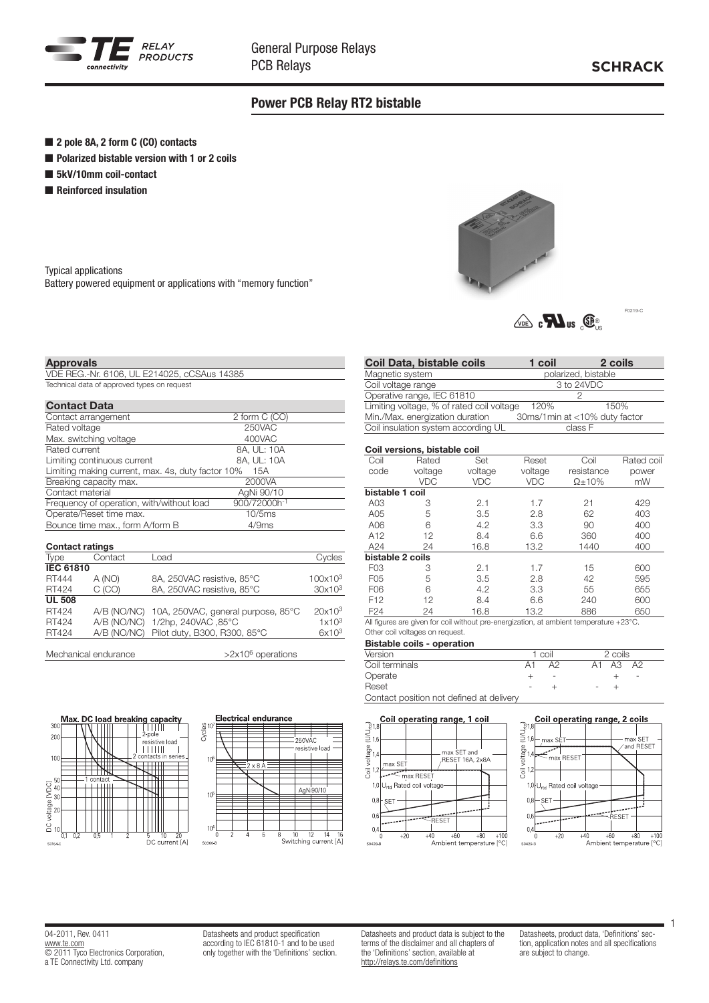

## Power PCB Relay RT2 bistable

- 2 pole 8A, 2 form C (CO) contacts
- Polarized bistable version with 1 or 2 coils
- 5kV/10mm coil-contact
- **n** Reinforced insulation

Typical applications Battery powered equipment or applications with "memory function"



 $\sqrt{\log}$   $\epsilon$   $\mathbf{M}$  us  $\int_{\mathbb{S}}$   $\mathbf{\Phi}_{\text{us}}$ 

## Approvals

VDE REG.-Nr. 6106, UL E214025, cCSAus 14385 Technical data of approved types on request

| <b>Contact Data</b>                                      |               |  |  |
|----------------------------------------------------------|---------------|--|--|
| Contact arrangement                                      | 2 form C (CO) |  |  |
| Rated voltage                                            | 250VAC        |  |  |
| Max. switching voltage                                   | 400VAC        |  |  |
| Rated current                                            | 8A, UL: 10A   |  |  |
| Limiting continuous current                              | 8A, UL: 10A   |  |  |
| Limiting making current, max. 4s, duty factor 10%<br>15A |               |  |  |
| Breaking capacity max.                                   | 2000VA        |  |  |
| Contact material                                         | AgNi 90/10    |  |  |
| Frequency of operation, with/without load                | 900/72000h-1  |  |  |
| Operate/Reset time max.                                  | 10/5ms        |  |  |
| Bounce time max., form A/form B                          | 4/9ms         |  |  |
|                                                          |               |  |  |

| <b>Contact ratings</b> |         |                                                |                     |
|------------------------|---------|------------------------------------------------|---------------------|
| <b>Type</b>            | Contact | Load                                           | Cycles              |
| <b>IEC 61810</b>       |         |                                                |                     |
| RT444                  | A (NO)  | 8A, 250VAC resistive, 85°C                     | 100x10 <sup>3</sup> |
| RT424                  | C(CO)   | 8A, 250VAC resistive, 85°C                     | 30x10 <sup>3</sup>  |
| <b>UL 508</b>          |         |                                                |                     |
| RT424                  |         | A/B (NO/NC) 10A, 250VAC, general purpose, 85°C | $20x10^3$           |
| RT424                  |         | A/B (NO/NC) 1/2hp, 240VAC, 85°C                | 1x10 <sup>3</sup>   |
| RT424                  |         | A/B (NO/NC) Pilot duty, B300, R300, 85°C       | $6x10^3$            |
|                        |         |                                                |                     |

Mechanical endurance  $>2x10^6$  operations





| Coil Data, bistable coils                 | 1 coil | 2 coils                       |  |
|-------------------------------------------|--------|-------------------------------|--|
| Magnetic system                           |        | polarized, bistable           |  |
| Coil voltage range                        |        | 3 to 24VDC                    |  |
| Operative range, IEC 61810                |        |                               |  |
| Limiting voltage, % of rated coil voltage | 120%   | 150%                          |  |
| Min./Max. energization duration           |        | 30ms/1min at <10% duty factor |  |
| Coil insulation system according UL       |        | class F                       |  |
|                                           |        |                               |  |

| Coil versions, bistable coil |            |            |            |                                                                                        |            |  |
|------------------------------|------------|------------|------------|----------------------------------------------------------------------------------------|------------|--|
| Coil                         | Rated      | Set        | Reset      | Coil                                                                                   | Rated coil |  |
| code                         | voltage    | voltage    | voltage    | resistance                                                                             | power      |  |
|                              | <b>VDC</b> | <b>VDC</b> | <b>VDC</b> | $\Omega$ + 10%                                                                         | mW         |  |
| bistable 1 coil              |            |            |            |                                                                                        |            |  |
| A <sub>03</sub>              | 3          | 2.1        | 1.7        | 21                                                                                     | 429        |  |
| A05                          | 5          | 3.5        | 2.8        | 62                                                                                     | 403        |  |
| A06                          | 6          | 4.2        | 3.3        | 90                                                                                     | 400        |  |
| A <sub>12</sub>              | 12         | 8.4        | 6.6        | 360                                                                                    | 400        |  |
| A24                          | 24         | 16.8       | 13.2       | 1440                                                                                   | 400        |  |
| bistable 2 coils             |            |            |            |                                                                                        |            |  |
| F <sub>03</sub>              | 3          | 2.1        | 1.7        | 15                                                                                     | 600        |  |
| F <sub>05</sub>              | 5          | 3.5        | 2.8        | 42                                                                                     | 595        |  |
| F06                          | 6          | 4.2        | 3.3        | 55                                                                                     | 655        |  |
| F <sub>12</sub>              | 12         | 8.4        | 6.6        | 240                                                                                    | 600        |  |
| F <sub>24</sub>              | 24         | 16.8       | 13.2       | 886                                                                                    | 650        |  |
|                              |            |            |            | All figures are given for coil without pre-energization, at ambient temperature +23°C. |            |  |

Other coil voltages on request.

| <b>Bistable coils - operation</b> |        |    |                                   |  |  |
|-----------------------------------|--------|----|-----------------------------------|--|--|
| Version                           | 1 coil |    | 2 coils                           |  |  |
| Coil terminals                    | A1     | A2 | $\mathsf{A1}$ $\mathsf{A3}$<br>A2 |  |  |
| Operate                           |        |    | $\overline{\phantom{a}}$          |  |  |
| Reset                             |        |    |                                   |  |  |
| $\sim$ $\sim$ $\sim$<br>$\cdots$  |        |    |                                   |  |  |

Contact position not defined at delivery





04-2011, Rev. 0411 [www.te.com](http://www.te.com) © 2011 Tyco Electronics Corporation, a TE Connectivity Ltd. company

Datasheets and product specification according to IEC 61810-1 and to be used only together with the 'Definitions' section. Datasheets and product data is subject to the terms of the disclaimer and all chapters of the 'Definitions' section, available at <http://relays.te.com/definitions>

Datasheets, product data, 'Definitions' section, application notes and all specifications are subject to change.

1